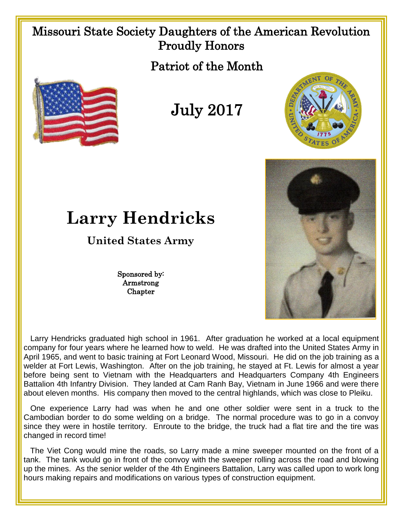## Missouri State Society Daughters of the American Revolution Proudly Honors

Patriot of the Month



July 2017





## **Larry Hendricks**

## **United States Army**

Sponsored by: Armstrong Chapter

 Larry Hendricks graduated high school in 1961. After graduation he worked at a local equipment company for four years where he learned how to weld. He was drafted into the United States Army in April 1965, and went to basic training at Fort Leonard Wood, Missouri. He did on the job training as a welder at Fort Lewis, Washington. After on the job training, he stayed at Ft. Lewis for almost a year before being sent to Vietnam with the Headquarters and Headquarters Company 4th Engineers Battalion 4th Infantry Division. They landed at Cam Ranh Bay, Vietnam in June 1966 and were there about eleven months. His company then moved to the central highlands, which was close to Pleiku.

 One experience Larry had was when he and one other soldier were sent in a truck to the Cambodian border to do some welding on a bridge. The normal procedure was to go in a convoy since they were in hostile territory. Enroute to the bridge, the truck had a flat tire and the tire was changed in record time!

 The Viet Cong would mine the roads, so Larry made a mine sweeper mounted on the front of a tank. The tank would go in front of the convoy with the sweeper rolling across the road and blowing up the mines. As the senior welder of the 4th Engineers Battalion, Larry was called upon to work long hours making repairs and modifications on various types of construction equipment.